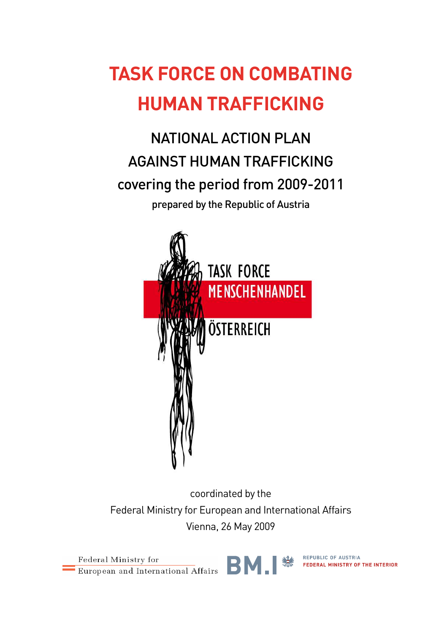## **TASK FORCE ON COMBATING HUMAN TRAFFICKING**

NATIONAL ACTION PLAN AGAINST HUMAN TRAFFICKING covering the period from 2009-2011 prepared by the Republic of Austria



coordinated by the Federal Ministry for European and International Affairs Vienna, 26 May 2009

Federal Ministry for European and International Affairs



REPUBLIC OF AUSTRIA FEDERAL MINISTRY OF THE INTERIOR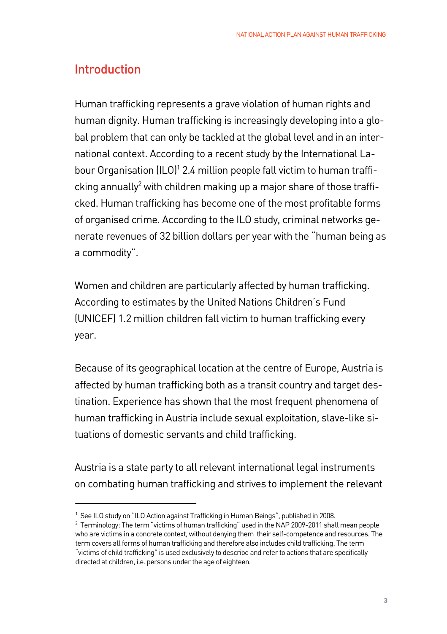## Introduction

Human trafficking represents a grave violation of human rights and human dignity. Human trafficking is increasingly developing into a global problem that can only be tackled at the global level and in an international context. According to a recent study by the International Labour Organisation (ILO)<sup>1</sup> 2.4 million people fall victim to human trafficking annually<sup>2</sup> with children making up a major share of those trafficked. Human trafficking has become one of the most profitable forms of organised crime. According to the ILO study, criminal networks generate revenues of 32 billion dollars per year with the "human being as a commodity".

Women and children are particularly affected by human trafficking. According to estimates by the United Nations Children's Fund (UNICEF) 1.2 million children fall victim to human trafficking every year.

Because of its geographical location at the centre of Europe, Austria is affected by human trafficking both as a transit country and target destination. Experience has shown that the most frequent phenomena of human trafficking in Austria include sexual exploitation, slave-like situations of domestic servants and child trafficking.

Austria is a state party to all relevant international legal instruments on combating human trafficking and strives to implement the relevant

<sup>&</sup>lt;sup>1</sup> See ILO study on "ILO Action against Trafficking in Human Beings", published in 2008.

 $^2$  Terminology: The term "victims of human trafficking" used in the NAP 2009-2011 shall mean people who are victims in a concrete context, without denying them their self-competence and resources. The term covers all forms of human trafficking and therefore also includes child trafficking. The term "victims of child trafficking" is used exclusively to describe and refer to actions that are specifically directed at children, i.e. persons under the age of eighteen.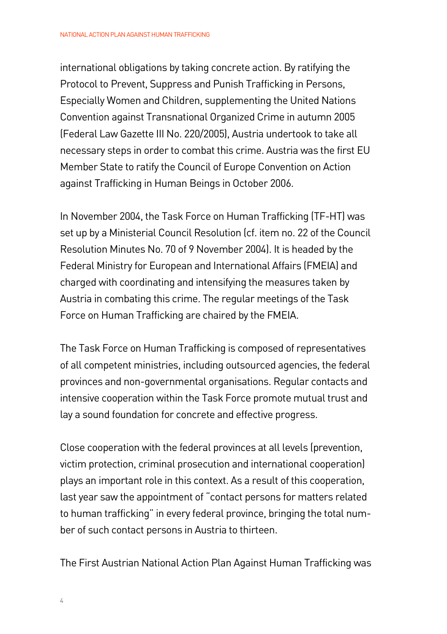international obligations by taking concrete action. By ratifying the Protocol to Prevent, Suppress and Punish Trafficking in Persons, Especially Women and Children, supplementing the United Nations Convention against Transnational Organized Crime in autumn 2005 (Federal Law Gazette III No. 220/2005), Austria undertook to take all necessary steps in order to combat this crime. Austria was the first EU Member State to ratify the Council of Europe Convention on Action against Trafficking in Human Beings in October 2006.

In November 2004, the Task Force on Human Trafficking (TF-HT) was set up by a Ministerial Council Resolution (cf. item no. 22 of the Council Resolution Minutes No. 70 of 9 November 2004). It is headed by the Federal Ministry for European and International Affairs (FMEIA) and charged with coordinating and intensifying the measures taken by Austria in combating this crime. The regular meetings of the Task Force on Human Trafficking are chaired by the FMEIA.

The Task Force on Human Trafficking is composed of representatives of all competent ministries, including outsourced agencies, the federal provinces and non-governmental organisations. Regular contacts and intensive cooperation within the Task Force promote mutual trust and lay a sound foundation for concrete and effective progress.

Close cooperation with the federal provinces at all levels (prevention, victim protection, criminal prosecution and international cooperation) plays an important role in this context. As a result of this cooperation, last year saw the appointment of "contact persons for matters related to human trafficking" in every federal province, bringing the total number of such contact persons in Austria to thirteen.

The First Austrian National Action Plan Against Human Trafficking was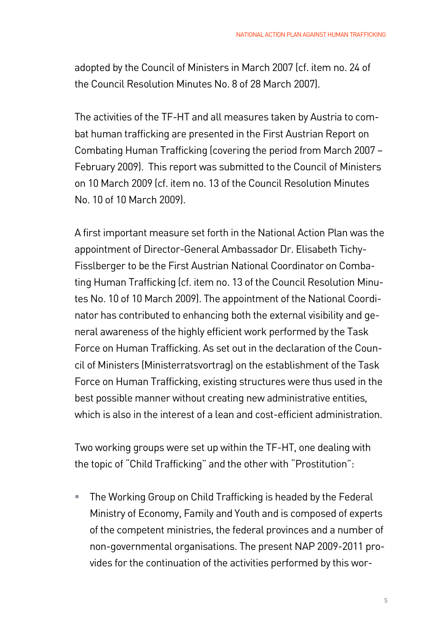adopted by the Council of Ministers in March 2007 (cf. item no. 24 of the Council Resolution Minutes No. 8 of 28 March 2007).

The activities of the TF-HT and all measures taken by Austria to combat human trafficking are presented in the First Austrian Report on Combating Human Trafficking (covering the period from March 2007 – February 2009). This report was submitted to the Council of Ministers on 10 March 2009 (cf. item no. 13 of the Council Resolution Minutes No. 10 of 10 March 2009).

A first important measure set forth in the National Action Plan was the appointment of Director-General Ambassador Dr. Elisabeth Tichy-Fisslberger to be the First Austrian National Coordinator on Combating Human Trafficking (cf. item no. 13 of the Council Resolution Minutes No. 10 of 10 March 2009). The appointment of the National Coordinator has contributed to enhancing both the external visibility and general awareness of the highly efficient work performed by the Task Force on Human Trafficking. As set out in the declaration of the Council of Ministers (Ministerratsvortrag) on the establishment of the Task Force on Human Trafficking, existing structures were thus used in the best possible manner without creating new administrative entities, which is also in the interest of a lean and cost-efficient administration.

Two working groups were set up within the TF-HT, one dealing with the topic of "Child Trafficking" and the other with "Prostitution":

 The Working Group on Child Trafficking is headed by the Federal Ministry of Economy, Family and Youth and is composed of experts of the competent ministries, the federal provinces and a number of non-governmental organisations. The present NAP 2009-2011 provides for the continuation of the activities performed by this wor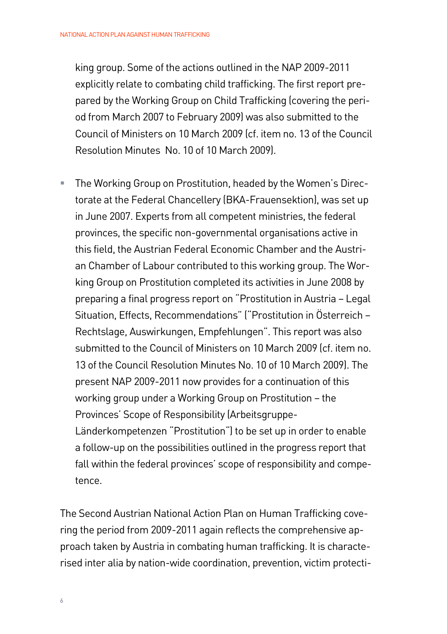king group. Some of the actions outlined in the NAP 2009-2011 explicitly relate to combating child trafficking. The first report prepared by the Working Group on Child Trafficking (covering the period from March 2007 to February 2009) was also submitted to the Council of Ministers on 10 March 2009 (cf. item no. 13 of the Council Resolution Minutes No. 10 of 10 March 2009).

 The Working Group on Prostitution, headed by the Women's Directorate at the Federal Chancellery (BKA-Frauensektion), was set up in June 2007. Experts from all competent ministries, the federal provinces, the specific non-governmental organisations active in this field, the Austrian Federal Economic Chamber and the Austrian Chamber of Labour contributed to this working group. The Working Group on Prostitution completed its activities in June 2008 by preparing a final progress report on "Prostitution in Austria – Legal Situation, Effects, Recommendations" ("Prostitution in Österreich – Rechtslage, Auswirkungen, Empfehlungen". This report was also submitted to the Council of Ministers on 10 March 2009 (cf. item no. 13 of the Council Resolution Minutes No. 10 of 10 March 2009). The present NAP 2009-2011 now provides for a continuation of this working group under a Working Group on Prostitution – the Provinces' Scope of Responsibility (Arbeitsgruppe-Länderkompetenzen "Prostitution") to be set up in order to enable a follow-up on the possibilities outlined in the progress report that fall within the federal provinces' scope of responsibility and competence.

The Second Austrian National Action Plan on Human Trafficking covering the period from 2009-2011 again reflects the comprehensive approach taken by Austria in combating human trafficking. It is characterised inter alia by nation-wide coordination, prevention, victim protecti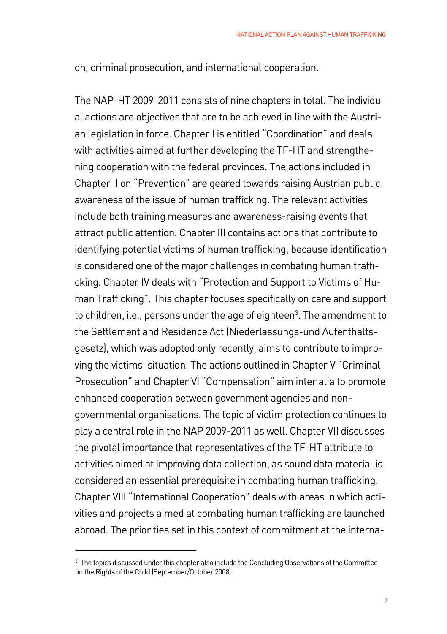on, criminal prosecution, and international cooperation.

The NAP-HT 2009-2011 consists of nine chapters in total. The individual actions are objectives that are to be achieved in line with the Austrian legislation in force. Chapter I is entitled "Coordination" and deals with activities aimed at further developing the TF-HT and strengthening cooperation with the federal provinces. The actions included in Chapter II on "Prevention" are geared towards raising Austrian public awareness of the issue of human trafficking. The relevant activities include both training measures and awareness-raising events that attract public attention. Chapter III contains actions that contribute to identifying potential victims of human trafficking, because identification is considered one of the major challenges in combating human trafficking. Chapter IV deals with "Protection and Support to Victims of Human Trafficking". This chapter focuses specifically on care and support to children, i.e., persons under the age of eighteen<sup>3</sup>. The amendment to the Settlement and Residence Act (Niederlassungs-und Aufenthaltsgesetz), which was adopted only recently, aims to contribute to improving the victims' situation. The actions outlined in Chapter V "Criminal Prosecution" and Chapter VI "Compensation" aim inter alia to promote enhanced cooperation between government agencies and nongovernmental organisations. The topic of victim protection continues to play a central role in the NAP 2009-2011 as well. Chapter VII discusses the pivotal importance that representatives of the TF-HT attribute to activities aimed at improving data collection, as sound data material is considered an essential prerequisite in combating human trafficking. Chapter VIII "International Cooperation" deals with areas in which activities and projects aimed at combating human trafficking are launched abroad. The priorities set in this context of commitment at the interna-

 $3$  The topics discussed under this chapter also include the Concluding Observations of the Committee  $3$ on the Rights of the Child (September/October 2008)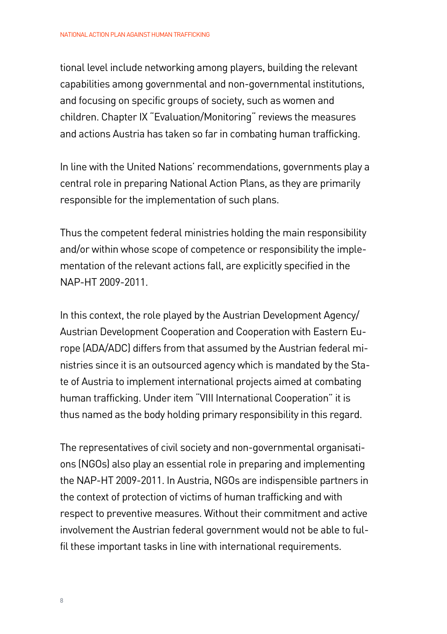tional level include networking among players, building the relevant capabilities among governmental and non-governmental institutions, and focusing on specific groups of society, such as women and children. Chapter IX "Evaluation/Monitoring" reviews the measures and actions Austria has taken so far in combating human trafficking.

In line with the United Nations' recommendations, governments play a central role in preparing National Action Plans, as they are primarily responsible for the implementation of such plans.

Thus the competent federal ministries holding the main responsibility and/or within whose scope of competence or responsibility the implementation of the relevant actions fall, are explicitly specified in the NAP-HT 2009-2011.

In this context, the role played by the Austrian Development Agency/ Austrian Development Cooperation and Cooperation with Eastern Europe (ADA/ADC) differs from that assumed by the Austrian federal ministries since it is an outsourced agency which is mandated by the State of Austria to implement international projects aimed at combating human trafficking. Under item "VIII International Cooperation" it is thus named as the body holding primary responsibility in this regard.

The representatives of civil society and non-governmental organisations (NGOs) also play an essential role in preparing and implementing the NAP-HT 2009-2011. In Austria, NGOs are indispensible partners in the context of protection of victims of human trafficking and with respect to preventive measures. Without their commitment and active involvement the Austrian federal government would not be able to fulfil these important tasks in line with international requirements.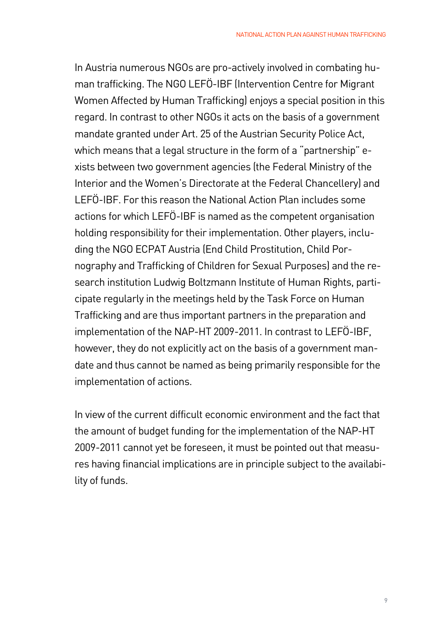In Austria numerous NGOs are pro-actively involved in combating human trafficking. The NGO LEFÖ-IBF (Intervention Centre for Migrant Women Affected by Human Trafficking) enjoys a special position in this regard. In contrast to other NGOs it acts on the basis of a government mandate granted under Art. 25 of the Austrian Security Police Act, which means that a legal structure in the form of a "partnership" exists between two government agencies (the Federal Ministry of the Interior and the Women's Directorate at the Federal Chancellery) and LEFÖ-IBF. For this reason the National Action Plan includes some actions for which LEFÖ-IBF is named as the competent organisation holding responsibility for their implementation. Other players, including the NGO ECPAT Austria (End Child Prostitution, Child Pornography and Trafficking of Children for Sexual Purposes) and the research institution Ludwig Boltzmann Institute of Human Rights, participate regularly in the meetings held by the Task Force on Human Trafficking and are thus important partners in the preparation and implementation of the NAP-HT 2009-2011. In contrast to LEFÖ-IBF, however, they do not explicitly act on the basis of a government mandate and thus cannot be named as being primarily responsible for the implementation of actions.

In view of the current difficult economic environment and the fact that the amount of budget funding for the implementation of the NAP-HT 2009-2011 cannot yet be foreseen, it must be pointed out that measures having financial implications are in principle subject to the availability of funds.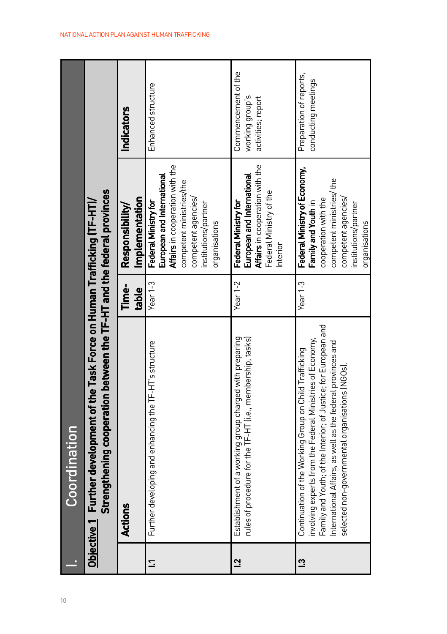| 10           |                | Coordination                                                                                                                                                                                                                                                                                            |                |                                                                                                                                                                                   |                                                              |
|--------------|----------------|---------------------------------------------------------------------------------------------------------------------------------------------------------------------------------------------------------------------------------------------------------------------------------------------------------|----------------|-----------------------------------------------------------------------------------------------------------------------------------------------------------------------------------|--------------------------------------------------------------|
|              |                | Strengthening cooperation between the TF-HT and the federal provinces<br>Objective 1 Further development of the Task Force on Human Trafficking (TF-HT)/                                                                                                                                                |                |                                                                                                                                                                                   |                                                              |
|              | <b>Actions</b> |                                                                                                                                                                                                                                                                                                         | Time-<br>table | Implementation<br>Responsibility/                                                                                                                                                 | Indicators                                                   |
| $\mathbf{r}$ |                | Further developing and enhancing the TF-HT's structure                                                                                                                                                                                                                                                  | Year $1-3$     | Affairs in cooperation with the<br>European and International<br>competent ministries/the<br>competent agencies/<br>Federal Ministry for<br>institutions/partner<br>organisations | Enhanced structure                                           |
|              | <u>ูว</u>      | Establishment of a working group charged with preparing<br>rules of procedure for the TF-HT (i.e., membership, tasks)                                                                                                                                                                                   | Year $1-2$     | Affairs in cooperation with the<br>European and International<br>Federal Ministry of the<br>Federal Ministry for<br>Interior                                                      | Commencement of the<br>working group's<br>activities; report |
|              | ្ម             | Family and Youth; of the Interior; of Justice; for European and<br>involving experts from the Federal Ministries of Economy,<br>International Affairs, as well as the federal provinces and<br>Continuation of the Working Group on Child Trafficking<br>selected non-governmental organisations (NGOs) | Year $1-3$     | Federal Ministry of Economy,<br>competent ministries/ the<br>competent agencies/<br>cooperation with the<br>Family and Youth in<br>institutions/partner<br>organisations          | Preparation of reports,<br>conducting meetings               |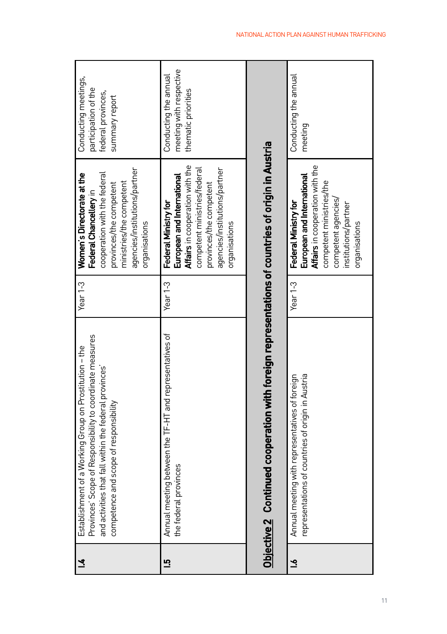| 71          | Provinces' Scope of Responsibility to coordinate measures<br>Establishment of a Working Group on Prostitution - the<br>and activities that fall within the federal provinces'<br>competence and scope of responsibility | Year $1-3$          | agencies/institutions/partner<br>Women's Directorate at the<br>cooperation with the federal<br>ministries/the competent<br>provinces/the competent<br>Federal Chancellery in<br>organisations      | Conducting meetings,<br>participation of the<br>federal provinces,<br>summary report |
|-------------|-------------------------------------------------------------------------------------------------------------------------------------------------------------------------------------------------------------------------|---------------------|----------------------------------------------------------------------------------------------------------------------------------------------------------------------------------------------------|--------------------------------------------------------------------------------------|
| <u>ന</u>    | Annual meeting between the TF-HT and representatives of<br>the federal provinces                                                                                                                                        | Year <sub>1-3</sub> | Affairs in cooperation with the<br>competent ministries/federal<br>agencies/institutions/partner<br>European and International<br>provinces/the competent<br>Federal Ministry for<br>organisations | meeting with respective<br>Conducting the annual<br>thematic priorities              |
|             | <u>Objective 2   Continued cooperation with foreign representations of countries of origin in Austria</u>                                                                                                               |                     |                                                                                                                                                                                                    |                                                                                      |
| $\tilde{=}$ | representations of countries of origin in Austria<br>Annual meeting with representatives of foreign                                                                                                                     | Year $1-3$          | Affairs in cooperation with the<br>European and International<br>competent ministries/the<br>competent agencies/<br>institutions/partner<br>Federal Ministry for<br>organisations                  | Conducting the annual<br>meeting                                                     |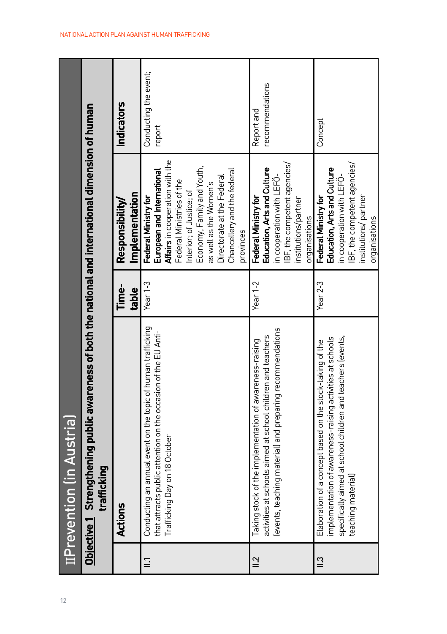|             | IIPrevention (in Austria)                                                                                                                                                                                   |                |                                                                                                                                                                                                                                                                                  |                                 |
|-------------|-------------------------------------------------------------------------------------------------------------------------------------------------------------------------------------------------------------|----------------|----------------------------------------------------------------------------------------------------------------------------------------------------------------------------------------------------------------------------------------------------------------------------------|---------------------------------|
|             | <u>Objective 1</u> Strengthening public awareness of both the national and international dimension of human<br>trafficking                                                                                  |                |                                                                                                                                                                                                                                                                                  |                                 |
|             | Actions                                                                                                                                                                                                     | Time-<br>table | Implementation<br>Responsibility/                                                                                                                                                                                                                                                | <b>Indicators</b>               |
| $\Xi$       | Conducting an annual event on the topic of human trafficking<br>that attracts public attention on the occasion of the EU Anti-<br>Trafficking Day on 18 October                                             | Year $1-3$     | Affairs in cooperation with the<br>Economy, Family and Youth,<br>Chancellery and the federal<br>European and International<br>Directorate at the Federal<br>Federal Ministries of the<br>as well as the Women's<br>Interior; of Justice; of<br>Federal Ministry for<br>provinces | Conducting the event;<br>report |
| $\approx$   | levents, teaching material) and preparing recommendations<br>activities at schools aimed at school children and teachers<br>Taking stock of the implementation of awareness-raising                         | Year $1-2$     | IBF, the competent agencies/<br>Education, Arts and Culture<br>in cooperation with LEFO-<br>Federal Ministry for<br>institutions/partner<br>organisations                                                                                                                        | recommendations<br>Report and   |
| $\tilde{=}$ | specifically aimed at school children and teachers levents,<br>implementation of awareness-raising activities at schools<br>Elaboration of a concept based on the stock-taking of the<br>teaching material) | Year $2-3$     | BF, the competent agencies/<br>Education, Arts and Culture<br>in cooperation with LEFO-<br>institutions/partner<br>Federal Ministry for<br>organisations                                                                                                                         | Concept                         |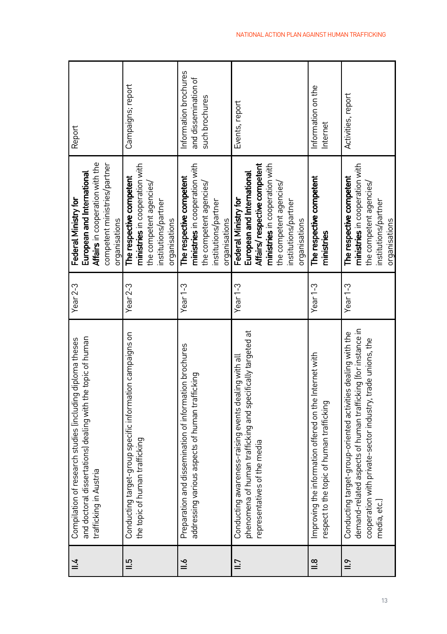| $\frac{1}{2}$     | and doctoral dissertations) dealing with the topic of human<br>Compilation of research studies lincluding diploma theses<br>trafficking in Austria                                                         | Year $2-3$          | Affairs in cooperation with the<br>competent ministries/partner<br>European and International<br>Federal Ministry for<br>organisations                                                   | Report                                                          |
|-------------------|------------------------------------------------------------------------------------------------------------------------------------------------------------------------------------------------------------|---------------------|------------------------------------------------------------------------------------------------------------------------------------------------------------------------------------------|-----------------------------------------------------------------|
| $\frac{5}{1}$     | Conducting target-group specific information campaigns on<br>the topic of human trafficking                                                                                                                | Year <sub>2-3</sub> | ministries in cooperation with<br>The respective competent<br>the competent agencies/<br>institutions/partner<br>organisations                                                           | Campaigns; report                                               |
| $\stackrel{6}{=}$ | Preparation and dissemination of information brochures<br>addressing various aspects of human trafficking                                                                                                  | Year $1-3$          | ministries in cooperation with<br>The respective competent<br>the competent agencies/<br>institutions/partner<br>organisations                                                           | Information brochures<br>and dissemination of<br>such brochures |
| $\equiv$          | phenomena of human trafficking and specifically targeted at<br>Conducting awareness-raising events dealing with all<br>representatives of the media                                                        | Year <sub>1-3</sub> | Affairs/respective competent<br>ministries in cooperation with<br>European and International<br>the competent agencies/<br>Federal Ministry for<br>institutions/partner<br>organisations | Events, report                                                  |
| $\frac{8}{10}$    | Improving the information offered on the Internet with<br>respect to the topic of human trafficking                                                                                                        | Year $1-3$          | The respective competent<br>ministries                                                                                                                                                   | Information on the<br>Internet                                  |
| $\frac{6}{11}$    | demand-related aspects of human trafficking (for instance in<br>Conducting target-group-oriented activities dealing with the<br>cooperation with private-sector industry, trade unions, the<br>media, etc. | Year <sub>1-3</sub> | ministries in cooperation with<br>The respective competent<br>the competent agencies/<br>institutions/partner<br>organisations                                                           | Activities, report                                              |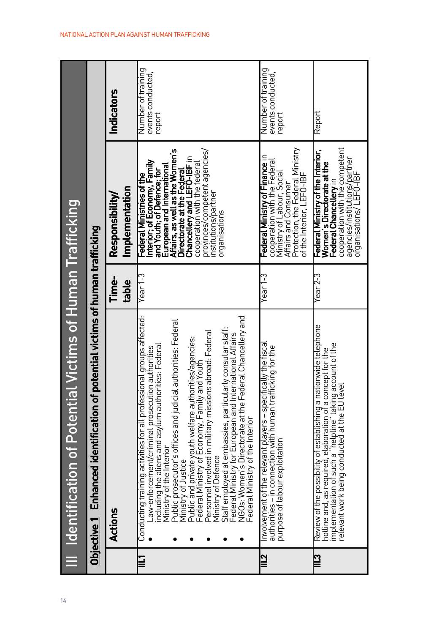| 14 | III Identification of Potential Victims of Human Trafficking                                                                                                                                                                                                                                                                                                                                                                                                                                                                                                                                                                                                                                                                             |                |                                                                                                                                                                                                                                                                                                                                 |                                                   |
|----|------------------------------------------------------------------------------------------------------------------------------------------------------------------------------------------------------------------------------------------------------------------------------------------------------------------------------------------------------------------------------------------------------------------------------------------------------------------------------------------------------------------------------------------------------------------------------------------------------------------------------------------------------------------------------------------------------------------------------------------|----------------|---------------------------------------------------------------------------------------------------------------------------------------------------------------------------------------------------------------------------------------------------------------------------------------------------------------------------------|---------------------------------------------------|
|    | Objective 1   Enhanced identification of potential victims of human trafficking                                                                                                                                                                                                                                                                                                                                                                                                                                                                                                                                                                                                                                                          |                |                                                                                                                                                                                                                                                                                                                                 |                                                   |
|    | Actions                                                                                                                                                                                                                                                                                                                                                                                                                                                                                                                                                                                                                                                                                                                                  | Time-<br>table | Implementation<br>Responsibility/                                                                                                                                                                                                                                                                                               | Indicators                                        |
|    | NGOs: Women's Directorate at the Federal Chancellery and<br>Conducting training activities for all professional groups affected:<br>Public prosecutor's offices and judicial authorities: Federal<br>Staff employed at embassies, particularly consular staff:<br>Personnel involved in military missions abroad: Federal<br>Federal Ministry for European and International Affairs<br>Public and private youth welfare authorities/agencies:<br>Federal Ministry of Economy, Family and Youth<br>including the aliens and asylum authorities: Federal<br>Law-enforcement/criminal prosecution authorities<br>Federal Ministry of the Interior<br>Ministry of the Interior<br>Ministry of Defence<br>Ministry of Justice<br><u>rill</u> | Year 1-3       | European and International<br>Affairs, as well as the Women's<br>provinces/competent agencies/<br>Directorate at the Federal<br>Chancellery and LEFO-IBF in<br>Interior; of Economy, Family<br>cooperation with the federal<br>and Youth; of Defence; for<br>Federal Ministries of the<br>institutions/partner<br>organisations | Number of training<br>events conducted.<br>report |
|    | Involvement of the relevant players - specifically the fiscal<br>authorities – in connection with human trafficking for the<br>purpose of labour exploitation<br>$\overline{\mathbb{I}}$                                                                                                                                                                                                                                                                                                                                                                                                                                                                                                                                                 | Year 1-3       | Protection, the Federal Ministry<br>of the Interior, LEFO-IBF<br>Federal Ministry of Finance in<br>cooperation with the Federal<br>Ministry of Labour, Social<br>Affairs and Consumer                                                                                                                                           | Number of training<br>events conducted.<br>report |
|    | Review of the possibility of establishing a nationwide telephone<br>hotline and, as required, elaboration of a concept for the<br>implementation of such a "helpline" taking account of the<br>relevant work being conducted at the EU level<br>$\mathbb{I}$                                                                                                                                                                                                                                                                                                                                                                                                                                                                             | Year 2-3       | cooperation with the competent<br>Federal Ministry of the Interior,<br>agencies/institutions/partner<br>Women's Directorate at the<br>Federal Chancellery in<br>organisations/LEFO-IBF                                                                                                                                          | Report                                            |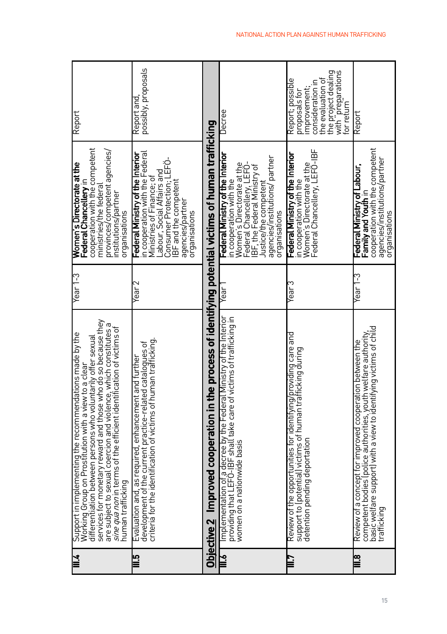| yill                    | services for monetary reward and those who do so because they<br>are subject to sexual coercion and violence, which constitutes a<br>sine qua non in terms of the efficient identification of victims of<br>Support in implementing the recommendations made by the<br>Working Group on Prostitution with a view to a clear<br>differentiation between persons who voluntarily offer sexual<br>numan trafficking | Year 1-3 | cooperation with the competent<br>provinces/competent agencies/<br>Women's Directorate at the<br>Federal Chancellery in<br>ministries/the federal<br>institutions/partner<br>organisations                                          | Report                                                                                                                                              |
|-------------------------|------------------------------------------------------------------------------------------------------------------------------------------------------------------------------------------------------------------------------------------------------------------------------------------------------------------------------------------------------------------------------------------------------------------|----------|-------------------------------------------------------------------------------------------------------------------------------------------------------------------------------------------------------------------------------------|-----------------------------------------------------------------------------------------------------------------------------------------------------|
|                         | criteria for the identification of victims of human trafficking.<br>development of the current practice-related catalogues of<br>Evaluation and, as required, enhancement and further                                                                                                                                                                                                                            | rigar)   | n cooperation with the Federal<br>Federal Ministry of the Interior<br>Consumer Protection; LEFÖ-<br>abour, Social Affairs and<br>Ministries of Finance; of<br>IBF and the competent<br>agencies/partner<br>prqanisations            | possibly, proposals<br>Report and                                                                                                                   |
|                         | Objective 2   Improved cooperation in the process of identifying potential victims of human trafficking                                                                                                                                                                                                                                                                                                          |          |                                                                                                                                                                                                                                     |                                                                                                                                                     |
| ăщ                      | Implementation of a decree by the Federal Ministry of the Interior<br>providing that LEFO-IBF shall take care of victims of trafficking in<br>women on a nationwide basis                                                                                                                                                                                                                                        | Year     | Federal Ministry of the Interior<br>agencies/institutions/ partner<br>Women's Directorate at the<br>Federal Chancellery, LEFO:<br>IBF, the Federal Ministry of<br>in cooperation with the<br>Justice/the competent<br>organisations | <b>Uecree</b>                                                                                                                                       |
|                         | Review of the opportunities for identifying/providing care and<br>support to (potential) victims of human trafficking during<br>detention pending deportation                                                                                                                                                                                                                                                    | Year 3   | Women's Directorate at the<br>Federal Chancellery, LEFO-IBF<br>Federal Ministry of the Interior<br>in cooperation with the                                                                                                          | the project dealing<br>with "preparations<br>Report; possible<br>the evaluation of<br>consideration in<br>improvement;<br>proposals for<br>orreturn |
| $\overline{\mathbf{g}}$ | competent bodies (police authorities, youth welfare authority,<br>basic welfare support) with a view to identifying victims of child<br>Review of a concept for improved cooperation between the<br>trafficking                                                                                                                                                                                                  | Year 1-3 | cooperation with the competent<br>agencies/institutions/partner<br>Federal Ministry of Labour,<br>Family and Youth in<br>organisations                                                                                              | Report                                                                                                                                              |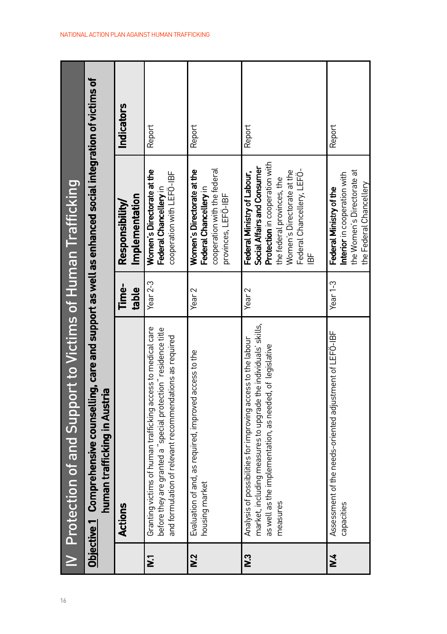| 16                      | IV Protection of and Support to Victims of Human Trafficking                                                                                                                                           |                   |                                                                                                                                                                                             |                   |
|-------------------------|--------------------------------------------------------------------------------------------------------------------------------------------------------------------------------------------------------|-------------------|---------------------------------------------------------------------------------------------------------------------------------------------------------------------------------------------|-------------------|
|                         | Objective 1 Comprehensive counselling, care and support as well as enhanced social integration of victims of<br>human trafficking in Austria                                                           |                   |                                                                                                                                                                                             |                   |
|                         | Actions                                                                                                                                                                                                | Time-<br>table    | Implementation<br>Responsibility/                                                                                                                                                           | <b>Indicators</b> |
| $\overline{\mathbf{z}}$ | Granting victims of human trafficking access to medical care<br>before they are granted a "special protection" residence title<br>and formulation of relevant recommendations as required              | Year $2-3$        | Women's Directorate at the<br>cooperation with LEFO-IBF<br>Federal Chancellery in                                                                                                           | Report            |
| N <sub>2</sub>          | Evaluation of and, as required, improved access to the<br>housing market                                                                                                                               | Year <sub>2</sub> | cooperation with the federal<br>Women's Directorate at the<br>Federal Chancellery in<br>provinces, LEFÖ-IBF                                                                                 | Report            |
| $\tilde{\mathbf{S}}$    | market, including measures to upgrade the individuals' skills,<br>Analysis of possibilities for improving access to the labour<br>as well as the implementation, as needed, of legislative<br>measures | Year <sub>2</sub> | Protection in cooperation with<br>Social Affairs and Consumer<br>Women's Directorate at the<br>Federal Chancellery, LEFO-<br>Federal Ministry of Labour,<br>the federal provinces, the<br>齿 | Report            |
| ž.                      | Assessment of the needs-oriented adjustment of LEFÖ-IBF<br>capacities                                                                                                                                  | Year $1-3$        | the Women's Directorate at<br>Interior in cooperation with<br>the Federal Chancellery<br>Federal Ministry of the                                                                            | Report            |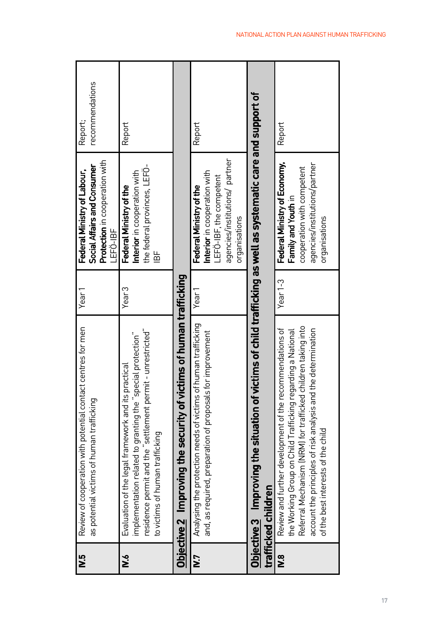| 5.<br>< | Review of cooperation with potential contact centres for men<br>as potential victims of human trafficking                                                                                                                                                                                      | Year <sup>1</sup> | Protection in cooperation with<br>Social Affairs and Consumer<br>Federal Ministry of Labour,<br>LEFO-IBF                              | recommendations<br>Report; |
|---------|------------------------------------------------------------------------------------------------------------------------------------------------------------------------------------------------------------------------------------------------------------------------------------------------|-------------------|---------------------------------------------------------------------------------------------------------------------------------------|----------------------------|
| λM      | residence permit and the "settlement permit - unrestricted"<br>mplementation related to granting the "special protection"<br>Evaluation of the legal framework and its practical<br>to victims of human trafficking                                                                            | Year <sub>3</sub> | the federal provinces, LEFO-<br>Interior in cooperation with<br>Federal Ministry of the<br>」<br>巴                                     | Report                     |
|         | Objective 2 Improving the security of victims of human trafficking                                                                                                                                                                                                                             |                   |                                                                                                                                       |                            |
| ΝJ      | Analysing the protection needs of victims of human trafficking<br>and, as required, preparation of proposals for improvement                                                                                                                                                                   | Year 1            | agencies/institutions/ partner<br>Interior in cooperation with<br>_EFÖ-IBF, the competent<br>Federal Ministry of the<br>organisations | Report                     |
|         | <u>Objective 3</u> Amproving the situation of victims of child trafficking as well as systematic care and support of<br>trafficked children                                                                                                                                                    |                   |                                                                                                                                       |                            |
| °.<br>≥ | Referral Mechanism (NRM) for trafficked children taking into<br>Review and further development of the recommendations of<br>account the principles of risk analysis and the determination<br>the Working Group on Child Trafficking regarding a National<br>of the best interests of the child | Year $1-3$        | Federal Ministry of Economy,<br>agencies/institutions/partner<br>cooperation with competent<br>Family and Youth in<br>organisations   | Report                     |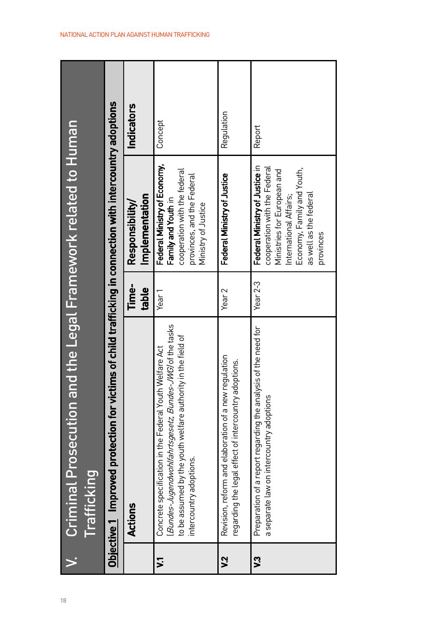| ï<br>ļ<br>I<br>Ï                                                                                                                          | j |
|-------------------------------------------------------------------------------------------------------------------------------------------|---|
|                                                                                                                                           |   |
| <b>STATE OF STATE OF STATE OF STATE OF STATE OF STATE OF STATE OF STATE OF STATE OF STATE OF STATE OF STATE OF S</b><br>ţ<br>ì<br>ź<br>18 |   |

|                     | Objective 1 Improved protection for victims of child trafficking in connection with intercountry adoptions                                                                                                    |                   |                                                                                                                                                                                              |                   |
|---------------------|---------------------------------------------------------------------------------------------------------------------------------------------------------------------------------------------------------------|-------------------|----------------------------------------------------------------------------------------------------------------------------------------------------------------------------------------------|-------------------|
|                     | Actions                                                                                                                                                                                                       | Time-<br>table    | Implementation<br>Responsibility/                                                                                                                                                            | <b>Indicators</b> |
| $\mathbf{z}$        | Bundes-Jugendwohlfahrtsgesetz, Bundes-JWG) of the tasks<br>to be assumed by the youth welfare authority in the field of<br>Concrete specification in the Federal Youth Welfare Act<br>intercountry adoptions. | Year 1            | Federal Ministry of Economy,<br>cooperation with the federal<br>provinces, and the Federal<br>Family and Youth in<br>Ministry of Justice                                                     | Concept           |
| λ,                  | Revision, reform and elaboration of a new regulation<br>regarding the legal effect of intercountry adoptions.                                                                                                 | Year <sub>2</sub> | Federal Ministry of Justice                                                                                                                                                                  | Regulation        |
| $\ddot{\mathbf{c}}$ | Preparation of a report regarding the analysis of the need for<br>a separate law on intercountry adoptions                                                                                                    | Year $2-3$        | Federal Ministry of Justice in<br>cooperation with the Federal<br>Economy, Family and Youth,<br>Ministries for European and<br>as well as the federal<br>International Affairs;<br>provinces | Report            |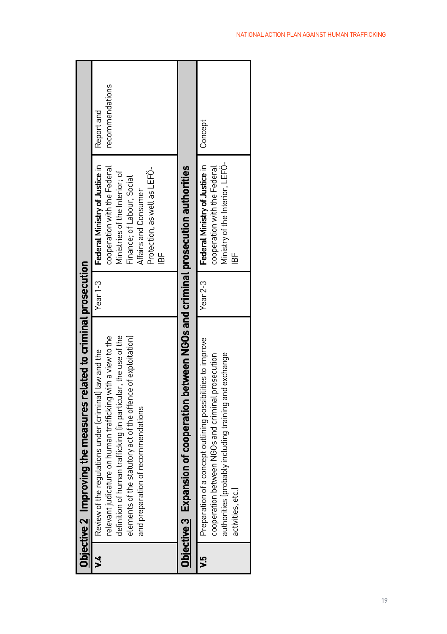|         | Objective 2 Improving the measures related to criminal prosecution                                                                                                                                                                                                                             |          |                                                                                                                                                                                                          |                               |
|---------|------------------------------------------------------------------------------------------------------------------------------------------------------------------------------------------------------------------------------------------------------------------------------------------------|----------|----------------------------------------------------------------------------------------------------------------------------------------------------------------------------------------------------------|-------------------------------|
| ž       | definition of human trafficking (in particular, the use of the<br>relevant judicature on human trafficking with a view to the<br>elements of the statutory act of the offence of exploitation)<br>Review of the regulations under (criminal) law and the<br>and preparation of recommendations | Year 1-3 | Federal Ministry of Justice in<br>cooperation with the Federal<br>Protection, as well as LEFO-<br>Ministries of the Interior; of<br>Finance; of Labour, Social<br>Affairs and Consumer<br>$\frac{1}{10}$ | recommendations<br>Report and |
|         | Objective 3 Expansion of cooperation between NGOs and criminal prosecution authorities                                                                                                                                                                                                         |          |                                                                                                                                                                                                          |                               |
| م.<br>< | Preparation of a concept outlining possibilities to improve<br>authorities (probably including training and exchange<br>cooperation between NGOs and criminal prosecution<br>activities, etc.                                                                                                  |          | Year 2-3   Federal Ministry of Justice in<br>Ministry of the Interior, LEFO-<br>cooperation with the Federal<br>눕                                                                                        | Concept                       |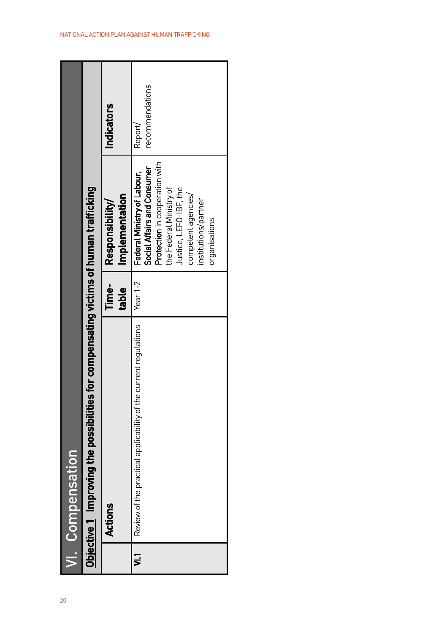|    | Objective 1 Improving the possibilities for compensating victims of human trafficking<br>VI. Compensation |                |                                                                                                                                                                                                                   |                            |
|----|-----------------------------------------------------------------------------------------------------------|----------------|-------------------------------------------------------------------------------------------------------------------------------------------------------------------------------------------------------------------|----------------------------|
|    | Actions                                                                                                   | lime-<br>table | Implementation<br>Responsibility                                                                                                                                                                                  | <b>Indicators</b>          |
| ្អ | Review of the practical applicability of the current regulations                                          | Year $1-2$     | Protection in cooperation with<br>Social Affairs and Consumer<br>Federal Ministry of Labour,<br>the Federal Ministry of<br>Justice, LEFO-IBF, the<br>competent agencies/<br>institutions/partner<br>organisations | recommendations<br>Report/ |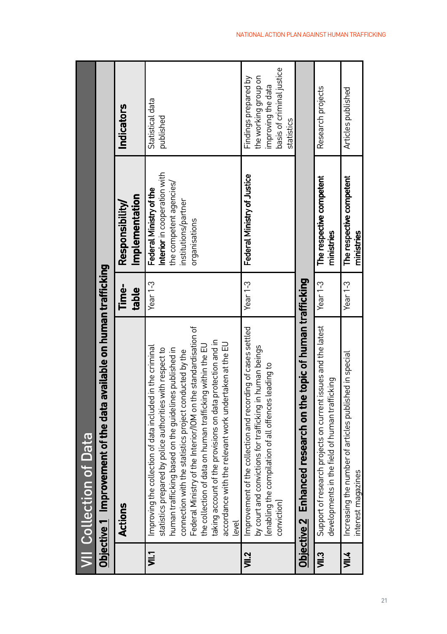|       | <b>VII</b> Collection of Data                                                                                                                                                                                                                                                                                                                                                                                                                                                                               |                |                                                                                                                             |                                                                                                               |
|-------|-------------------------------------------------------------------------------------------------------------------------------------------------------------------------------------------------------------------------------------------------------------------------------------------------------------------------------------------------------------------------------------------------------------------------------------------------------------------------------------------------------------|----------------|-----------------------------------------------------------------------------------------------------------------------------|---------------------------------------------------------------------------------------------------------------|
|       | Objective 1 Improvement of the data available on human trafficking                                                                                                                                                                                                                                                                                                                                                                                                                                          |                |                                                                                                                             |                                                                                                               |
|       | Actions                                                                                                                                                                                                                                                                                                                                                                                                                                                                                                     | Time-<br>table | Implementation<br>Responsibility                                                                                            | <b>Indicators</b>                                                                                             |
| Ş     | Federal Ministry of the Interior/IOM on the standardisation of<br>taking account of the provisions on data protection and in<br>accordance with the relevant work undertaken at the EU<br>the collection of data on human trafficking within the EU<br>Improving the collection of data included in the criminal<br>statistics prepared by police authorities with respect to<br>human trafficking based on the guidelines published in<br>connection with the statistics project conducted by the<br>level | Year $1-3$     | Interior in cooperation with<br>the competent agencies/<br>Federal Ministry of the<br>institutions/partner<br>organisations | Statistical data<br>published                                                                                 |
| VII.2 | Improvement of the collection and recording of cases settled<br>by court and convictions for trafficking in human beings<br>lenabling the compilation of all offences leading to<br>conviction)                                                                                                                                                                                                                                                                                                             | Year $1-3$     | Federal Ministry of Justice                                                                                                 | basis of criminal justice<br>the working group on<br>Findings prepared by<br>improving the data<br>statistics |
|       | Objective 2 Enhanced research on the topic of human trafficking                                                                                                                                                                                                                                                                                                                                                                                                                                             |                |                                                                                                                             |                                                                                                               |
| VII.3 | Support of research projects on current issues and the latest<br>developments in the field of human trafficking                                                                                                                                                                                                                                                                                                                                                                                             | Year 1-3       | The respective competent<br>ministries                                                                                      | Research projects                                                                                             |
| VII.4 | Increasing the number of articles published in special<br>interest magazines                                                                                                                                                                                                                                                                                                                                                                                                                                | Year 1-3       | The respective competent<br>ministries                                                                                      | Articles published                                                                                            |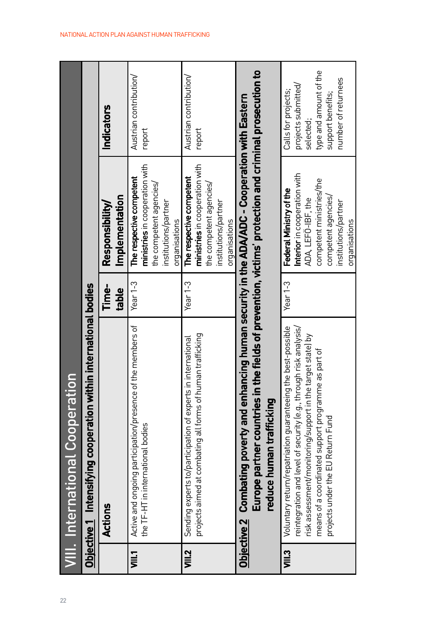| 22 |          | <b>VIII. International Cooperation</b>                                                                                                                                                                                                                                                      |                |                                                                                                                                                                           |                                                                                                                               |
|----|----------|---------------------------------------------------------------------------------------------------------------------------------------------------------------------------------------------------------------------------------------------------------------------------------------------|----------------|---------------------------------------------------------------------------------------------------------------------------------------------------------------------------|-------------------------------------------------------------------------------------------------------------------------------|
|    |          | Objective 1 Intensifying cooperation within international bodies                                                                                                                                                                                                                            |                |                                                                                                                                                                           |                                                                                                                               |
|    |          | Actions                                                                                                                                                                                                                                                                                     | Time-<br>table | Implementation<br>Responsibility                                                                                                                                          | Indicators                                                                                                                    |
|    | $\equiv$ | Active and ongoing participation/presence of the members of<br>the TF-HT in international bodies                                                                                                                                                                                            | Year 1-3       | ministries in cooperation with<br>The respective competent<br>the competent agencies/<br>institutions/partner<br>organisations                                            | Austrian contribution/<br>report                                                                                              |
|    | VIII.2   | projects aimed at combating all forms of human trafficking<br>Sending experts to/participation of experts in international                                                                                                                                                                  | Year $1-3$     | ministries in cooperation with<br>The respective competent<br>the competent agencies/<br>institutions/partner<br>organisations                                            | Austrian contribution/<br>report                                                                                              |
|    |          | Europe partner countries in the fields of prevention, victims' protection and criminal prosecution to<br>Objective 2   Combating poverty and enhancing human security in the ADA/ADC - Cooperation with Eastern<br>reduce human trafficking                                                 |                |                                                                                                                                                                           |                                                                                                                               |
|    | J∭3      | Voluntary return/repatriation guaranteeing the best-possible<br>reintegration and level of security (e.g., through risk analysis/<br>risk assessment/monitoring/support in the target statel by<br>means of a coordinated support programme as part of<br>projects under the EU Return Fund | Year $1-3$     | Interior in cooperation with<br>competent ministries/the<br>Federal Ministry of the<br>competent agencies/<br>ADA, LEFÖ-IBF, the<br>institutions/partner<br>organisations | type and amount of the<br>number of returnees<br>projects submitted/<br>Calls for projects;<br>support benefits;<br>selected; |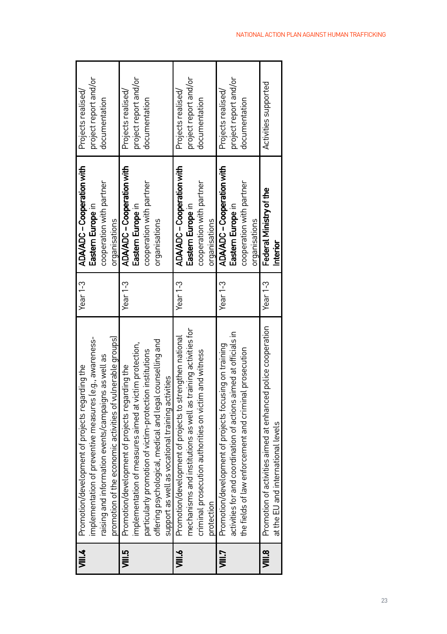| ।<br>ज्ञा∡ | Promotion/development of projects regarding the                  | Year $1-3$ | ADA/ADC - Cooperation with | Projects realised/    |
|------------|------------------------------------------------------------------|------------|----------------------------|-----------------------|
|            | implementation of preventive measures (e.g., awareness-          |            | Eastern Europe in          | project report and/or |
|            | raising and information events/campaigns as well as              |            | cooperation with partner   | documentation         |
|            | promotion of the economic activities of vulnerable groups)       |            | organisations              |                       |
| sills      | Promotion/development of projects regarding the                  | Year $1-3$ | ADA/ADC - Cooperation with | Projects realised     |
|            | implementation of measures aimed at victim protection,           |            | Eastern Europe in          | project report and/or |
|            | particularly promotion of victim-protection institutions         |            | cooperation with partner   | documentation         |
|            | offering psychological, medical and legal counselling and        |            | organisations              |                       |
|            | support as well as vocational training activities                |            |                            |                       |
| ⋚          | Promotion/development of projects to strengthen national         | Year 1-3   | ADA/ADC - Cooperation with | Projects realised/    |
|            | mechanisms and institutions as well as training activities for   |            | Eastern Europe in          | project report and/or |
|            | criminal prosecution authorities on victim and witness           |            | cooperation with partner   | documentation         |
|            | protection                                                       |            | organisations              |                       |
| 言          | Promotion/development of projects focusing on training           | Year $1-3$ | ADA/ADC - Cooperation with | Projects realised/    |
|            | activities for and coordination of actions aimed at officials in |            | Eastern Europe in          | project report and/or |
|            | the fields of law enforcement and criminal prosecution           |            | cooperation with partner   | documentation         |
|            |                                                                  |            | organisations              |                       |
| a<br>≡     | Promotion of activities aimed at enhanced police cooperation     | Year $1-3$ | Federal Ministry of the    | Activities supported  |
|            | at the EU and international levels                               |            | hterior                    |                       |
|            |                                                                  |            |                            |                       |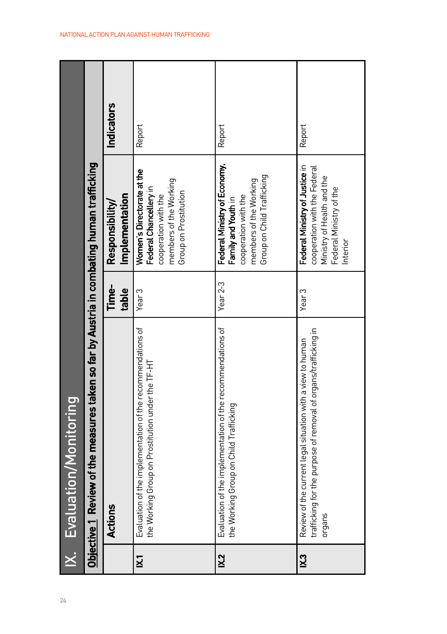| 24           | IX. Evaluation/Monitoring                                                                                                               |                   |                                                                                                                                     |            |
|--------------|-----------------------------------------------------------------------------------------------------------------------------------------|-------------------|-------------------------------------------------------------------------------------------------------------------------------------|------------|
|              | Objective 1  Review of the measures taken so far by Austria in combating human trafficking                                              |                   |                                                                                                                                     |            |
|              | Actions                                                                                                                                 | Time-<br>table    | Implementation<br>Responsibility/                                                                                                   | Indicators |
| $\mathbf{K}$ | Evaluation of the implementation of the recommendations of<br>the Working Group on Prostitution under the TF-HT                         | Year <sub>3</sub> | Women's Directorate at the<br>members of the Working<br>Federal Chancellery in<br>Group on Prostitution<br>cooperation with the     | Report     |
| K.2          | Evaluation of the implementation of the recommendations of<br>the Working Group on Child Trafficking                                    | Year 2-3          | Federal Ministry of Economy,<br>Group on Child Trafficking<br>members of the Working<br>cooperation with the<br>Family and Youth in | Report     |
| K3           | trafficking for the purpose of removal of organs/trafficking in<br>Review of the current legal situation with a view to human<br>organs | Year <sub>3</sub> | Federal Ministry of Justice in<br>cooperation with the Federal<br>Ministry of Health and the<br>Federal Ministry of the<br>nterior  | Report     |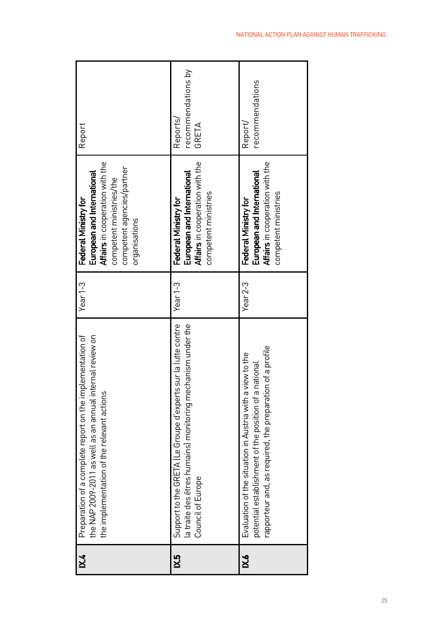| X4  | Preparation of a complete report on the implementation of<br>the NAP 2009-2011 as well as an annual internal review on<br>the implementation of the relevant actions            | Year $1-3$ | Affairs in cooperation with the<br>competent agencies/partner<br>European and International<br>competent ministries/the<br>Federal Ministry for<br>organisations | Report                                  |
|-----|---------------------------------------------------------------------------------------------------------------------------------------------------------------------------------|------------|------------------------------------------------------------------------------------------------------------------------------------------------------------------|-----------------------------------------|
| Χ.5 | Support to the GRETA (Le Groupe d'experts sur la lutte contre<br>la traite des êtres humains) monitoring mechanism under the<br>Council of Europe                               | Year $1-3$ | Affairs in cooperation with the<br>European and International<br>competent ministries<br>Federal Ministry for                                                    | recommendations by<br>Reports/<br>GRETA |
| X.6 | rapporteur and, as required, the preparation of a profile<br>Evaluation of the situation in Austria with a view to the<br>potential establishment of the position of a national | Year $2-3$ | Affairs in cooperation with the<br>European and International<br>competent ministries<br>Federal Ministry for                                                    | recommendations<br>Report/              |